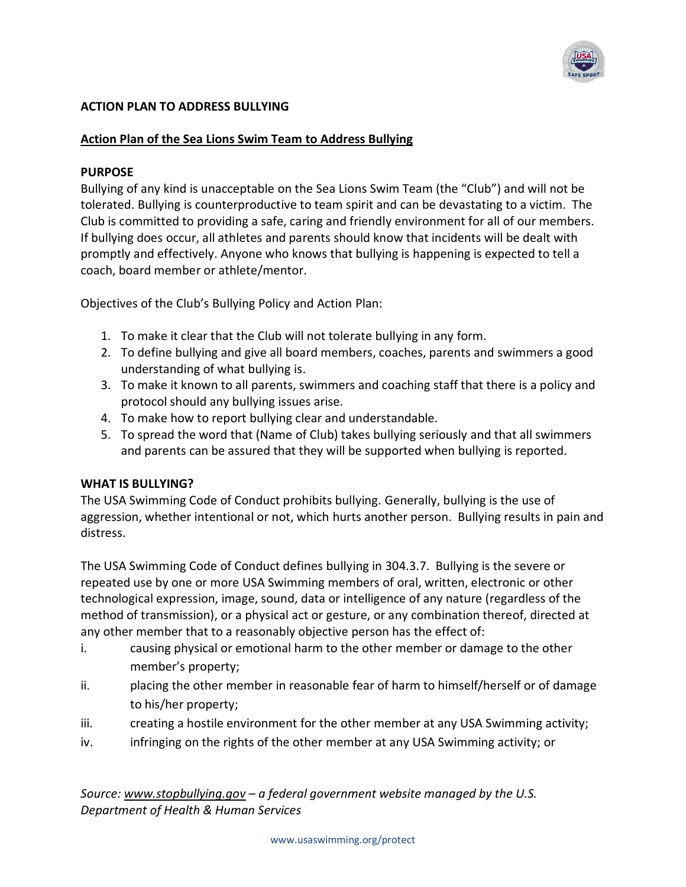

## **ACTION PLAN TO ADDRESS BULLYING**

### **Action Plan of the Sea Lions Swim Team to Address Bullying**

#### **PURPOSE**

Bullying of any kind is unacceptable on the Sea Lions Swim Team (the "Club") and will not be tolerated. Bullying is counterproductive to team spirit and can be devastating to a victim. The Club is committed to providing a safe, caring and friendly environment for all of our members. If bullying does occur, all athletes and parents should know that incidents will be dealt with promptly and effectively. Anyone who knows that bullying is happening is expected to tell a coach, board member or athlete/mentor.

Objectives of the Club's Bullying Policy and Action Plan:

- 1. To make it clear that the Club will not tolerate bullying in any form.
- 2. To define bullying and give all board members, coaches, parents and swimmers a good understanding of what bullying is.
- 3. To make it known to all parents, swimmers and coaching staff that there is a policy and protocol should any bullying issues arise.
- 4. To make how to report bullying clear and understandable.
- 5. To spread the word that (Name of Club) takes bullying seriously and that all swimmers and parents can be assured that they will be supported when bullying is reported.

### **WHAT IS BULLYING?**

The USA Swimming Code of Conduct prohibits bullying. Generally, bullying is the use of aggression, whether intentional or not, which hurts another person. Bullying results in pain and distress.

The USA Swimming Code of Conduct defines bullying in 304.3.7. Bullying is the severe or repeated use by one or more USA Swimming members of oral, written, electronic or other technological expression, image, sound, data or intelligence of any nature (regardless of the method of transmission), or a physical act or gesture, or any combination thereof, directed at any other member that to a reasonably objective person has the effect of:

- i. causing physical or emotional harm to the other member or damage to the other member's property;
- ii. placing the other member in reasonable fear of harm to himself/herself or of damage to his/her property;
- iii. creating a hostile environment for the other member at any USA Swimming activity;
- iv. infringing on the rights of the other member at any USA Swimming activity; or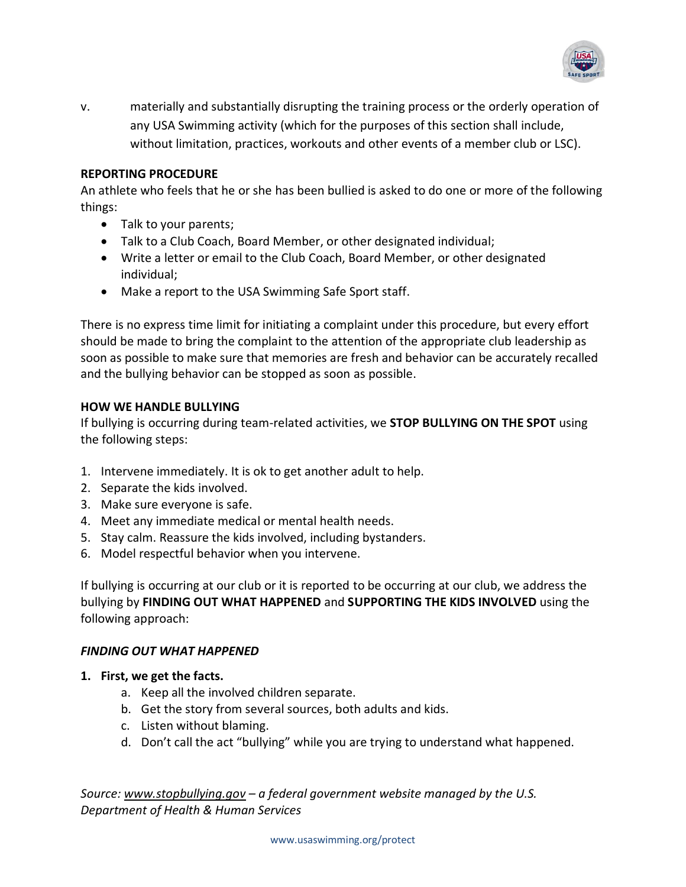

v. materially and substantially disrupting the training process or the orderly operation of any USA Swimming activity (which for the purposes of this section shall include, without limitation, practices, workouts and other events of a member club or LSC).

### **REPORTING PROCEDURE**

An athlete who feels that he or she has been bullied is asked to do one or more of the following things:

- Talk to your parents;
- Talk to a Club Coach, Board Member, or other designated individual;
- Write a letter or email to the Club Coach, Board Member, or other designated individual;
- Make a report to the USA Swimming Safe Sport staff.

There is no express time limit for initiating a complaint under this procedure, but every effort should be made to bring the complaint to the attention of the appropriate club leadership as soon as possible to make sure that memories are fresh and behavior can be accurately recalled and the bullying behavior can be stopped as soon as possible.

### **HOW WE HANDLE BULLYING**

If bullying is occurring during team-related activities, we **STOP BULLYING ON THE SPOT** using the following steps:

- 1. Intervene immediately. It is ok to get another adult to help.
- 2. Separate the kids involved.
- 3. Make sure everyone is safe.
- 4. Meet any immediate medical or mental health needs.
- 5. Stay calm. Reassure the kids involved, including bystanders.
- 6. Model respectful behavior when you intervene.

If bullying is occurring at our club or it is reported to be occurring at our club, we address the bullying by **FINDING OUT WHAT HAPPENED** and **SUPPORTING THE KIDS INVOLVED** using the following approach:

### *FINDING OUT WHAT HAPPENED*

- **1. First, we get the facts.** 
	- a. Keep all the involved children separate.
	- b. Get the story from several sources, both adults and kids.
	- c. Listen without blaming.
	- d. Don't call the act "bullying" while you are trying to understand what happened.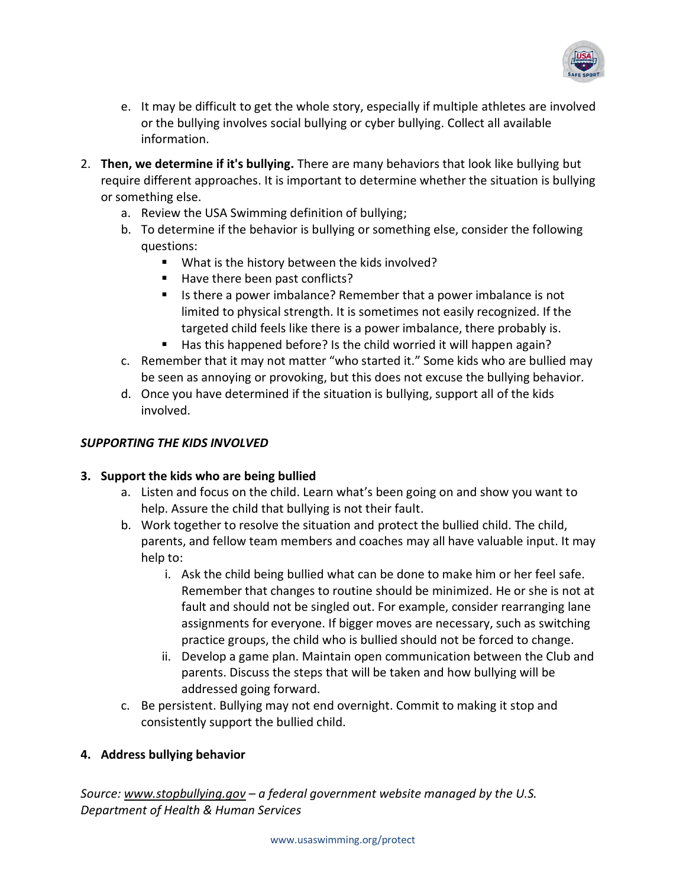

- e. It may be difficult to get the whole story, especially if multiple athletes are involved or the bullying involves [social bullying](http://www.stopbullying.gov/what-is-bullying/definition/index.html#social) or cyber [bullying.](http://www.stopbullying.gov/cyberbullying/index.html) Collect all available information.
- 2. **Then, we determine if it's bullying.** There are [many behaviors that look like bullying](http://www.stopbullying.gov/what-is-bullying/related-topics/index.html) but require different approaches. It is important to determine whether the situation is bullying or something else.
	- a. Review the USA Swimming definition of bullying;
	- b. To determine if the behavior is bullying or something else, consider the following questions:
		- What is the history between the kids involved?
		- Have there been past conflicts?
		- Is there a power imbalance? Remember that a power imbalance is not limited to physical strength. It is sometimes not easily recognized. If the targeted child feels like there is a power imbalance, there probably is.
		- Has this happened before? Is the child worried it will happen again?
	- c. Remember that it may not matter "who started it." Some kids who are bullied may be seen as annoying or provoking, but this does not excuse the bullying behavior.
	- d. Once you have determined if the situation is bullying, support all of the kids involved.

## *SUPPORTING THE KIDS INVOLVED*

### **3. Support the kids who are being bullied**

- a. Listen and focus on the child. Learn what's been going on and show you want to help. Assure the child that bullying is not their fault.
- b. Work together to resolve the situation and protect the bullied child. The child, parents, and fellow team members and coaches may all have valuable input. It may help to:
	- i. Ask the child being bullied what can be done to make him or her feel safe. Remember that changes to routine should be minimized. He or she is not at fault and should not be singled out. For example, consider rearranging lane assignments for everyone. If bigger moves are necessary, such as switching practice groups, the child who is bullied should not be forced to change.
	- ii. Develop a game plan. Maintain open communication between the Club and parents. Discuss the steps that will be taken and how bullying will be addressed going forward.
- c. Be persistent. Bullying may not end overnight. Commit to making it stop and consistently support the bullied child.

# **4. Address bullying behavior**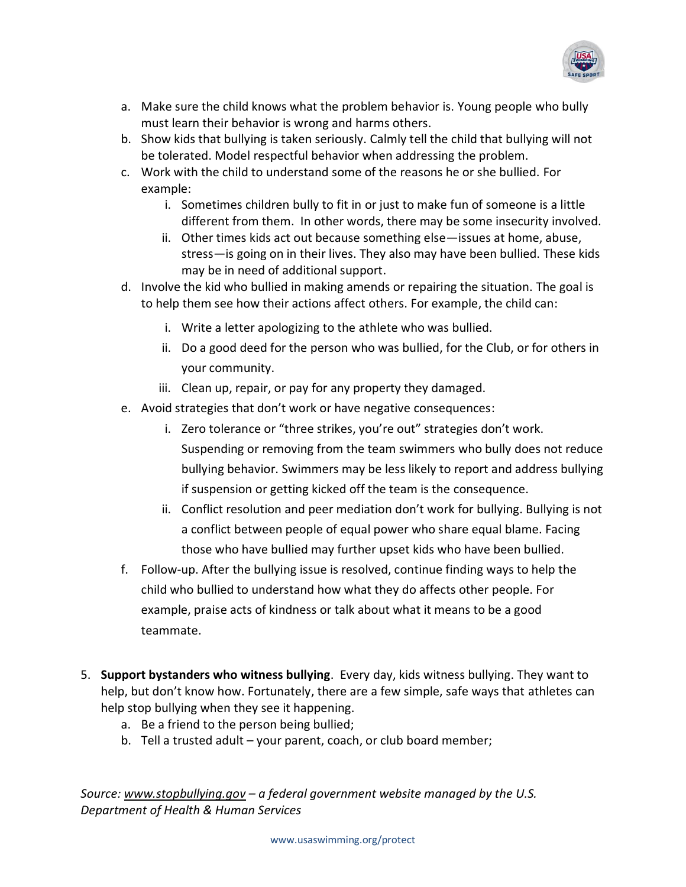

- a. Make sure the child knows what the problem behavior is. Young people who bully must learn their behavior is wrong and harms others.
- b. Show kids that bullying is taken seriously. Calmly tell the child that bullying will not be tolerated. Model respectful behavior when addressing the problem.
- c. Work with the child to understand some of the reasons he or she bullied. For example:
	- i. Sometimes children bully to fit in or just to make fun of someone is a little different from them. In other words, there may be some insecurity involved.
	- ii. Other times kids act out because something else—issues at home, abuse, stress—is going on in their lives. They also may have been bullied. These kids may be in need of additional support.
- d. Involve the kid who bullied in making amends or repairing the situation. The goal is to help them see how their actions affect others. For example, the child can:
	- i. Write a letter apologizing to the athlete who was bullied.
	- ii. Do a good deed for the person who was bullied, for the Club, or for others in your community.
	- iii. Clean up, repair, or pay for any property they damaged.
- e. Avoid strategies that don't work or have negative consequences:
	- i. Zero tolerance or "three strikes, you're out" strategies don't work. Suspending or removing from the team swimmers who bully does not reduce bullying behavior. Swimmers may be less likely to report and address bullying if suspension or getting kicked off the team is the consequence.
	- ii. Conflict resolution and peer mediation don't work for bullying. Bullying is not a conflict between people of equal power who share equal blame. Facing those who have bullied may further upset kids who have been bullied.
- f. Follow-up. After the bullying issue is resolved, continue finding ways to help the child who bullied to understand how what they do affects other people. For example, praise acts of kindness or talk about what it means to be a good teammate.
- 5. **Support bystanders who witness bullying**. Every day, kids witness bullying. They want to help, but don't know how. Fortunately, there are a few simple, safe ways that athletes can help stop bullying when they see it happening.
	- a. Be a friend to the person being bullied;
	- b. Tell a trusted adult your parent, coach, or club board member;